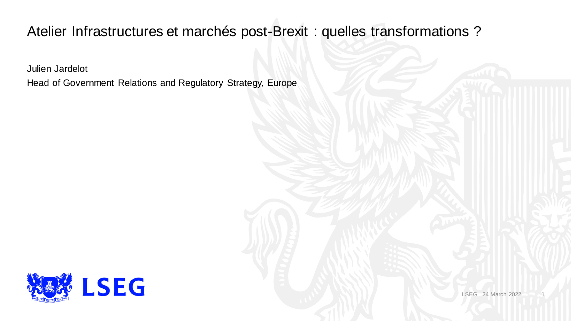### Atelier Infrastructures et marchés post-Brexit : quelles transformations ?

Julien Jardelot

Head of Government Relations and Regulatory Strategy, Europe



LSEG 24 March 2022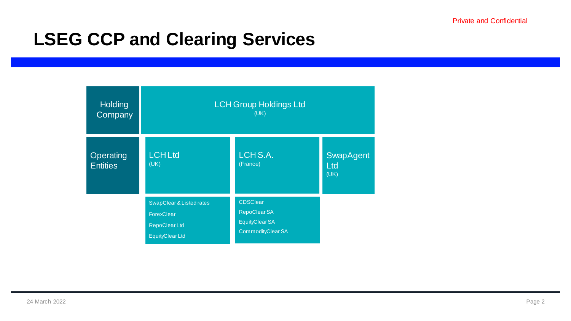# **LSEG CCP and Clearing Services**

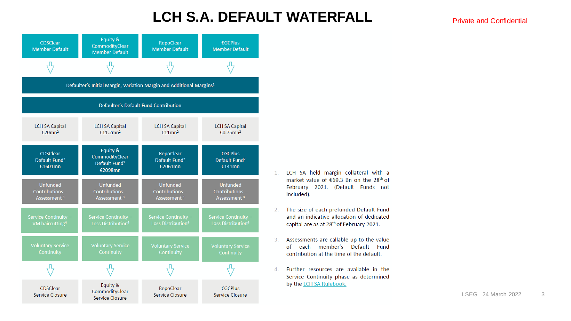#### **LCH S.A. DEFAULT WATERFALL**



- 1. LCH SA held margin collateral with a market value of €69.3 Bn on the 28<sup>th</sup> of February 2021. (Default Funds not included).
- The size of each prefunded Default Fund  $2.$ and an indicative allocation of dedicated capital are as at 28<sup>th</sup> of February 2021.
- Assessments are callable up to the value  $3.$ of each member's Default Fund contribution at the time of the default.
- $\mathbf{4}$ Further resources are available in the Service Continuity phase as determined by the LCH SA Rulebook.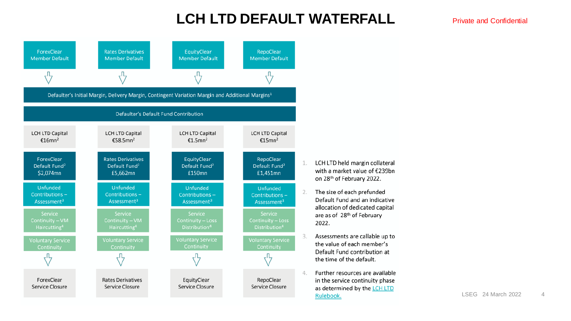### **LCH LTD DEFAULT WATERFALL**



- LCH LTD held margin collateral with a market value of €239bn on 28th of February 2022.
- The size of each prefunded Default Fund and an indicative allocation of dedicated capital are as of 28th of February
	- Assessments are callable up to the value of each member's Default Fund contribution at the time of the default.
- Further resources are available in the service continuity phase as determined by the LCH LTD Rulebook.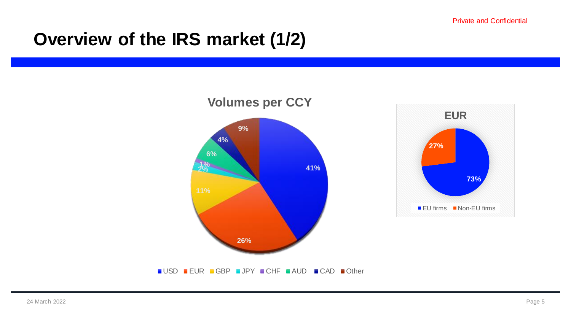## **Overview of the IRS market (1/2)**

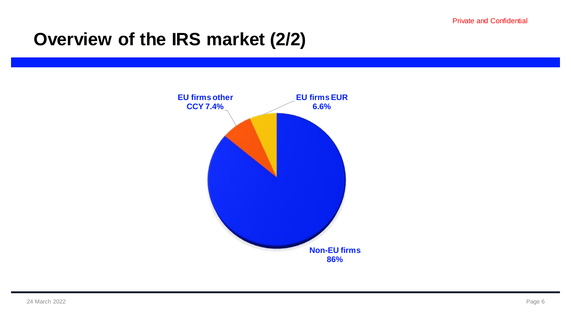## **Overview of the IRS market (2/2)**